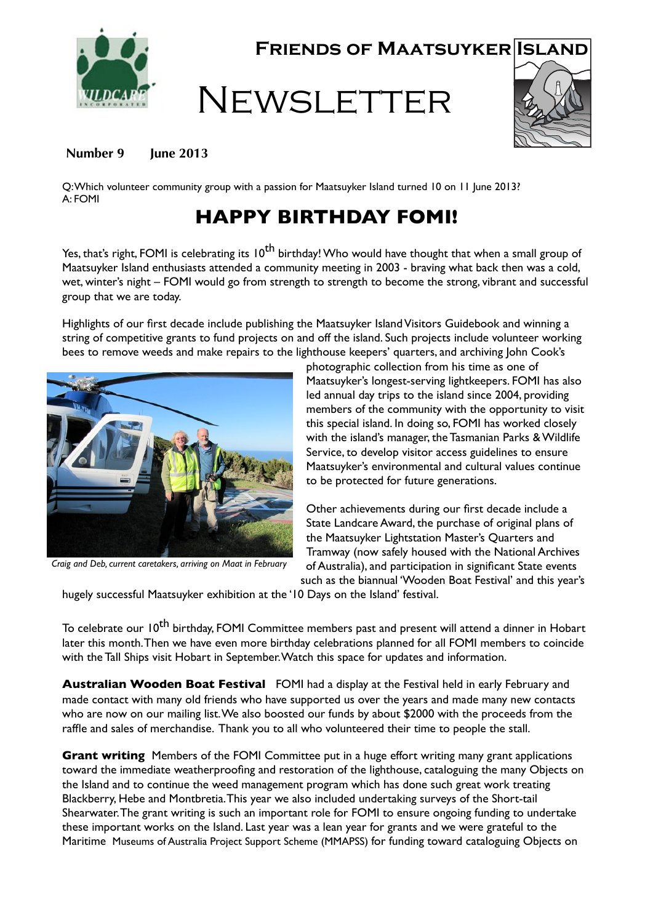

**Friends of Maatsuyker Island**

## **NEWSLETTER**



## Number 9 **June 2013**

Q:Which volunteer community group with a passion for Maatsuyker Island turned 10 on 11 June 2013? A: FOMI

## **HAPPY BIRTHDAY FOMI!**

Yes, that's right, FOMI is celebrating its 10<sup>th</sup> birthday! Who would have thought that when a small group of Maatsuyker Island enthusiasts attended a community meeting in 2003 - braving what back then was a cold, wet, winter's night – FOMI would go from strength to strength to become the strong, vibrant and successful group that we are today.

Highlights of our first decade include publishing the Maatsuyker Island Visitors Guidebook and winning a string of competitive grants to fund projects on and off the island. Such projects include volunteer working bees to remove weeds and make repairs to the lighthouse keepers' quarters, and archiving John Cook's



*Craig and Deb, current caretakers, arriving on Maat in February*

photographic collection from his time as one of Maatsuyker's longest-serving lightkeepers. FOMI has also led annual day trips to the island since 2004, providing members of the community with the opportunity to visit this special island. In doing so, FOMI has worked closely with the island's manager, the Tasmanian Parks & Wildlife Service, to develop visitor access guidelines to ensure Maatsuyker's environmental and cultural values continue to be protected for future generations.

Other achievements during our first decade include a State Landcare Award, the purchase of original plans of the Maatsuyker Lightstation Master's Quarters and Tramway (now safely housed with the National Archives of Australia), and participation in significant State events such as the biannual 'Wooden Boat Festival' and this year's

hugely successful Maatsuyker exhibition at the '10 Days on the Island' festival.

To celebrate our 10<sup>th</sup> birthday, FOMI Committee members past and present will attend a dinner in Hobart later this month.Then we have even more birthday celebrations planned for all FOMI members to coincide with the Tall Ships visit Hobart in September.Watch this space for updates and information.

**Australian Wooden Boat Festival** FOMI had a display at the Festival held in early February and made contact with many old friends who have supported us over the years and made many new contacts who are now on our mailing list.We also boosted our funds by about \$2000 with the proceeds from the raffle and sales of merchandise. Thank you to all who volunteered their time to people the stall.

**Grant writing** Members of the FOMI Committee put in a huge effort writing many grant applications toward the immediate weatherproofing and restoration of the lighthouse, cataloguing the many Objects on the Island and to continue the weed management program which has done such great work treating Blackberry, Hebe and Montbretia.This year we also included undertaking surveys of the Short-tail Shearwater.The grant writing is such an important role for FOMI to ensure ongoing funding to undertake these important works on the Island. Last year was a lean year for grants and we were grateful to the Maritime Museums of Australia Project Support Scheme (MMAPSS) for funding toward cataloguing Objects on